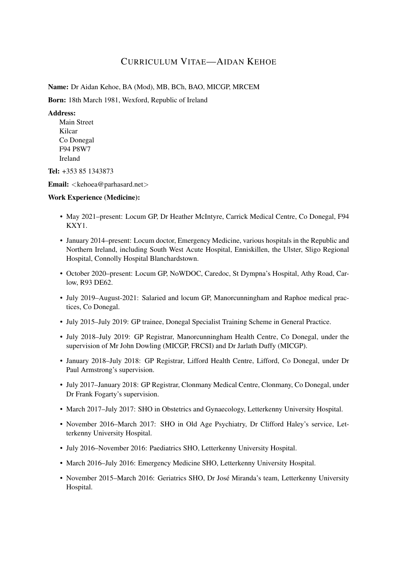# CURRICULUM VITAE—AIDAN KEHOE

Name: Dr Aidan Kehoe, BA (Mod), MB, BCh, BAO, MICGP, MRCEM

Born: 18th March 1981, Wexford, Republic of Ireland

### Address:

Main Street Kilcar Co Donegal F94 P8W7 Ireland

Tel: +353 85 1343873

Email: <kehoea@parhasard.net>

## Work Experience (Medicine):

- May 2021–present: Locum GP, Dr Heather McIntyre, Carrick Medical Centre, Co Donegal, F94 KXY1.
- January 2014–present: Locum doctor, Emergency Medicine, various hospitals in the Republic and Northern Ireland, including South West Acute Hospital, Enniskillen, the Ulster, Sligo Regional Hospital, Connolly Hospital Blanchardstown.
- October 2020–present: Locum GP, NoWDOC, Caredoc, St Dympna's Hospital, Athy Road, Carlow, R93 DE62.
- July 2019–August-2021: Salaried and locum GP, Manorcunningham and Raphoe medical practices, Co Donegal.
- July 2015–July 2019: GP trainee, Donegal Specialist Training Scheme in General Practice.
- July 2018–July 2019: GP Registrar, Manorcunningham Health Centre, Co Donegal, under the supervision of Mr John Dowling (MICGP, FRCSI) and Dr Jarlath Duffy (MICGP).
- January 2018–July 2018: GP Registrar, Lifford Health Centre, Lifford, Co Donegal, under Dr Paul Armstrong's supervision.
- July 2017–January 2018: GP Registrar, Clonmany Medical Centre, Clonmany, Co Donegal, under Dr Frank Fogarty's supervision.
- March 2017–July 2017: SHO in Obstetrics and Gynaecology, Letterkenny University Hospital.
- November 2016–March 2017: SHO in Old Age Psychiatry, Dr Clifford Haley's service, Letterkenny University Hospital.
- July 2016–November 2016: Paediatrics SHO, Letterkenny University Hospital.
- March 2016–July 2016: Emergency Medicine SHO, Letterkenny University Hospital.
- November 2015–March 2016: Geriatrics SHO, Dr Jose Miranda's team, Letterkenny University ´ Hospital.